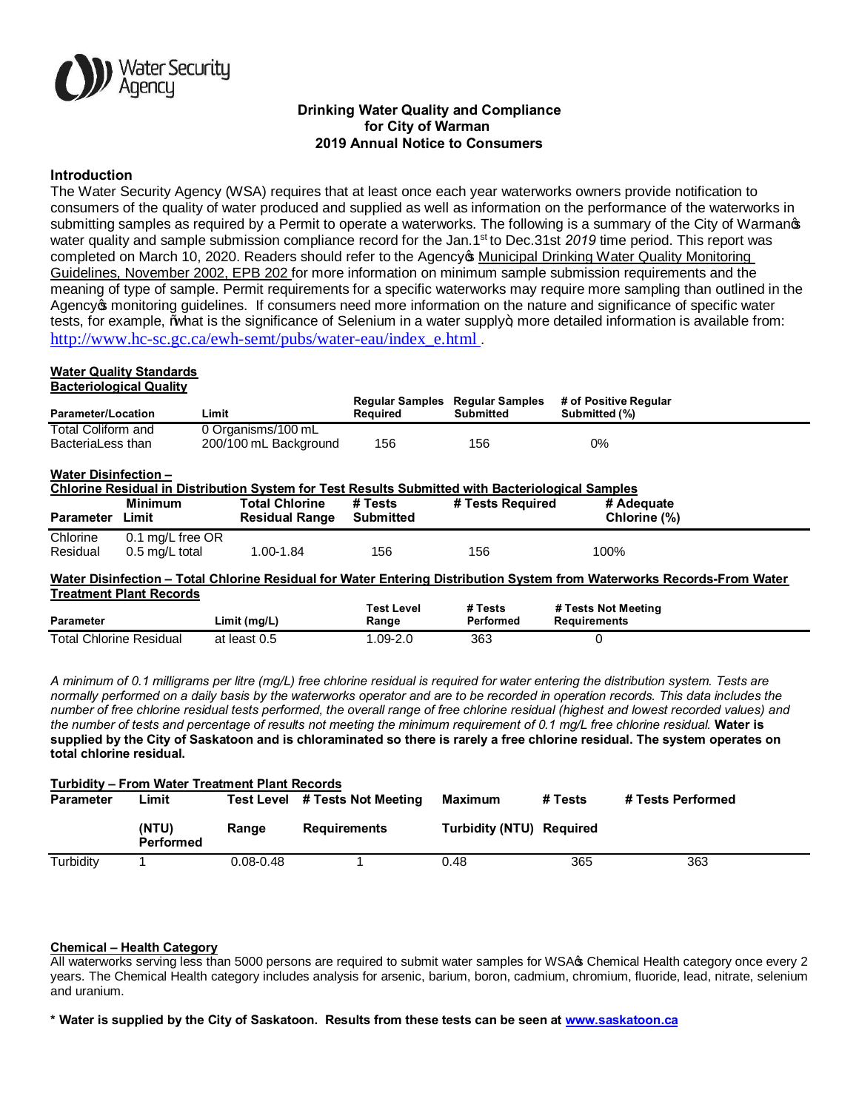

# **Drinking Water Quality and Compliance for City of Warman 2019 Annual Notice to Consumers**

## **Introduction**

The Water Security Agency (WSA) requires that at least once each year waterworks owners provide notification to consumers of the quality of water produced and supplied as well as information on the performance of the waterworks in submitting samples as required by a Permit to operate a waterworks. The following is a summary of the City of Warmanos water quality and sample submission compliance record for the Jan.1<sup>st</sup> to Dec.31st 2019 time period. This report was completed on March 10, 2020. Readers should refer to the Agency we Municipal Drinking Water Quality Monitoring Guidelines, November 2002, EPB 202 for more information on minimum sample submission requirements and the meaning of type of sample. Permit requirements for a specific waterworks may require more sampling than outlined in the Agency of monitoring guidelines. If consumers need more information on the nature and significance of specific water tests, for example,  $%$ what is the significance of Selenium in a water supply $+$  more detailed information is available from: http://www.hc-sc.gc.ca/ewh-semt/pubs/water-eau/index\_e.html .

#### **Water Quality Standards Bacteriological Quality**

|                             | bactonological Quality         |                                                                                                  |                                    |                                            |                                                                                                                        |
|-----------------------------|--------------------------------|--------------------------------------------------------------------------------------------------|------------------------------------|--------------------------------------------|------------------------------------------------------------------------------------------------------------------------|
| Parameter/Location          |                                | Limit                                                                                            | <b>Regular Samples</b><br>Required | <b>Regular Samples</b><br><b>Submitted</b> | # of Positive Regular<br>Submitted (%)                                                                                 |
| Total Coliform and          |                                | 0 Organisms/100 mL                                                                               |                                    |                                            |                                                                                                                        |
| BacteriaLess than           |                                | 200/100 mL Background                                                                            | 156                                | 156                                        | 0%                                                                                                                     |
| <b>Water Disinfection -</b> |                                | Chlorine Residual in Distribution System for Test Results Submitted with Bacteriological Samples |                                    |                                            |                                                                                                                        |
|                             | <b>Minimum</b>                 | <b>Total Chlorine</b>                                                                            | # Tests                            | # Tests Required                           | # Adequate                                                                                                             |
| <b>Parameter</b>            | Limit                          | <b>Residual Range</b>                                                                            | Submitted                          |                                            | Chlorine (%)                                                                                                           |
| Chlorine                    | 0.1 mg/L free OR               |                                                                                                  |                                    |                                            |                                                                                                                        |
| Residual                    | $0.5$ ma/L total               | 1.00-1.84                                                                                        | 156                                | 156                                        | 100%                                                                                                                   |
|                             |                                |                                                                                                  |                                    |                                            | Water Disinfection – Total Chlorine Residual for Water Entering Distribution System from Waterworks Records-From Water |
|                             | <b>Treatment Plant Records</b> |                                                                                                  |                                    |                                            |                                                                                                                        |
|                             |                                |                                                                                                  | Test Level                         | # Tests                                    | # Tests Not Meeting                                                                                                    |
| <b>Parameter</b>            |                                | Limit(mg/L)                                                                                      | Range                              | Performed                                  | <b>Requirements</b>                                                                                                    |

*A minimum of 0.1 milligrams per litre (mg/L) free chlorine residual is required for water entering the distribution system. Tests are normally performed on a daily basis by the waterworks operator and are to be recorded in operation records. This data includes the number of free chlorine residual tests performed, the overall range of free chlorine residual (highest and lowest recorded values) and the number of tests and percentage of results not meeting the minimum requirement of 0.1 mg/L free chlorine residual.* **Water is supplied by the City of Saskatoon and is chloraminated so there is rarely a free chlorine residual. The system operates on total chlorine residual.**

Total Chlorine Residual at least 0.5 1.09-2.0 363 0

| <b>Turbidity – From Water Treatment Plant Records</b> |                           |               |                                |                          |         |                   |  |
|-------------------------------------------------------|---------------------------|---------------|--------------------------------|--------------------------|---------|-------------------|--|
| <b>Parameter</b>                                      | Limit                     |               | Test Level # Tests Not Meeting | Maximum                  | # Tests | # Tests Performed |  |
|                                                       | (NTU)<br><b>Performed</b> | Range         | <b>Requirements</b>            | Turbidity (NTU) Required |         |                   |  |
| Turbidity                                             |                           | $0.08 - 0.48$ |                                | 0.48                     | 365     | 363               |  |

#### **Chemical – Health Category**

All waterworks serving less than 5000 persons are required to submit water samples for WSA $\alpha$  Chemical Health category once every 2 years. The Chemical Health category includes analysis for arsenic, barium, boron, cadmium, chromium, fluoride, lead, nitrate, selenium and uranium.

**\* Water is supplied by the City of Saskatoon. Results from these tests can be seen at www.saskatoon.ca**